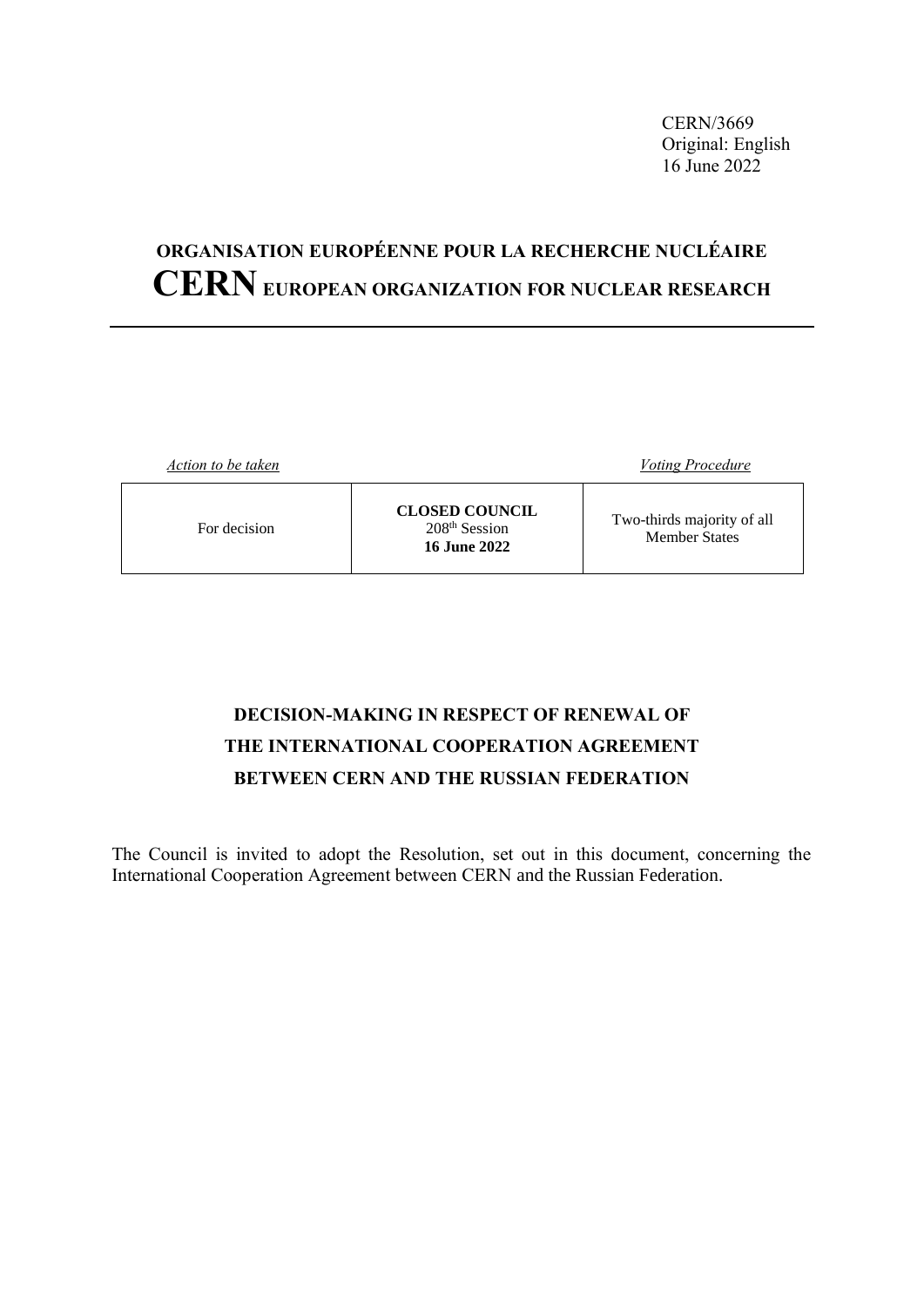CERN/3669 Original: English 16 June 2022

# **ORGANISATION EUROPÉENNE POUR LA RECHERCHE NUCLÉAIRE CERNEUROPEAN ORGANIZATION FOR NUCLEAR RESEARCH**

| Action to be taken |                                                                 | <b>Voting Procedure</b>                            |
|--------------------|-----------------------------------------------------------------|----------------------------------------------------|
| For decision       | <b>CLOSED COUNCIL</b><br>$208th$ Session<br><b>16 June 2022</b> | Two-thirds majority of all<br><b>Member States</b> |

# **DECISION-MAKING IN RESPECT OF RENEWAL OF THE INTERNATIONAL COOPERATION AGREEMENT BETWEEN CERN AND THE RUSSIAN FEDERATION**

The Council is invited to adopt the Resolution, set out in this document, concerning the International Cooperation Agreement between CERN and the Russian Federation.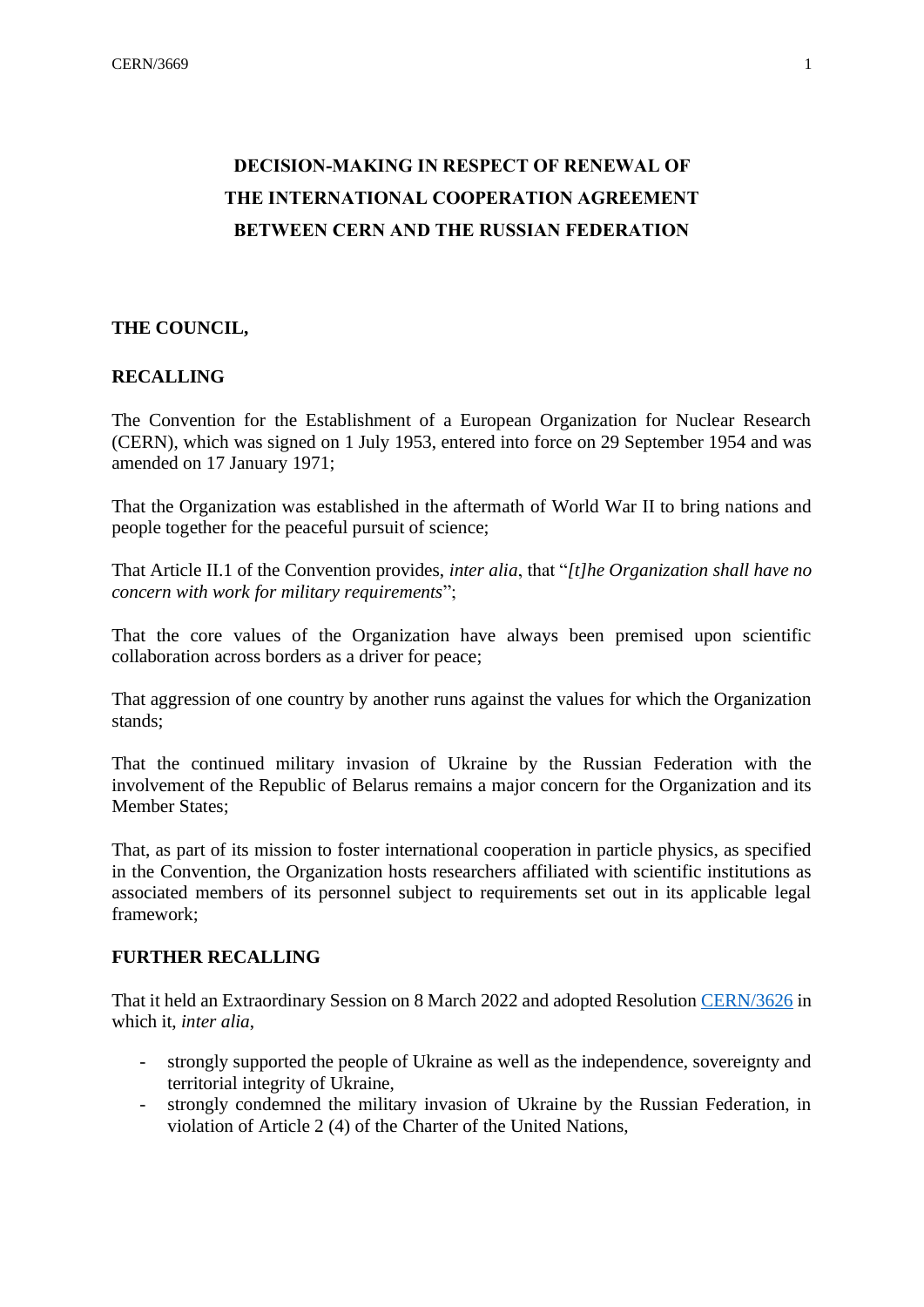# **DECISION-MAKING IN RESPECT OF RENEWAL OF THE INTERNATIONAL COOPERATION AGREEMENT BETWEEN CERN AND THE RUSSIAN FEDERATION**

## **THE COUNCIL,**

## **RECALLING**

The Convention for the Establishment of a European Organization for Nuclear Research (CERN), which was signed on 1 July 1953, entered into force on 29 September 1954 and was amended on 17 January 1971;

That the Organization was established in the aftermath of World War II to bring nations and people together for the peaceful pursuit of science;

That Article II.1 of the Convention provides, *inter alia*, that "*[t]he Organization shall have no concern with work for military requirements*";

That the core values of the Organization have always been premised upon scientific collaboration across borders as a driver for peace;

That aggression of one country by another runs against the values for which the Organization stands;

That the continued military invasion of Ukraine by the Russian Federation with the involvement of the Republic of Belarus remains a major concern for the Organization and its Member States;

That, as part of its mission to foster international cooperation in particle physics, as specified in the Convention, the Organization hosts researchers affiliated with scientific institutions as associated members of its personnel subject to requirements set out in its applicable legal framework;

#### **FURTHER RECALLING**

That it held an Extraordinary Session on 8 March 2022 and adopted Resolution [CERN/3626](https://cds.cern.ch/record/2803319/files/c-e-3626_Resolution_re_Russia%20.pdf) in which it, *inter alia*,

- strongly supported the people of Ukraine as well as the independence, sovereignty and territorial integrity of Ukraine,
- strongly condemned the military invasion of Ukraine by the Russian Federation, in violation of Article 2 (4) of the Charter of the United Nations,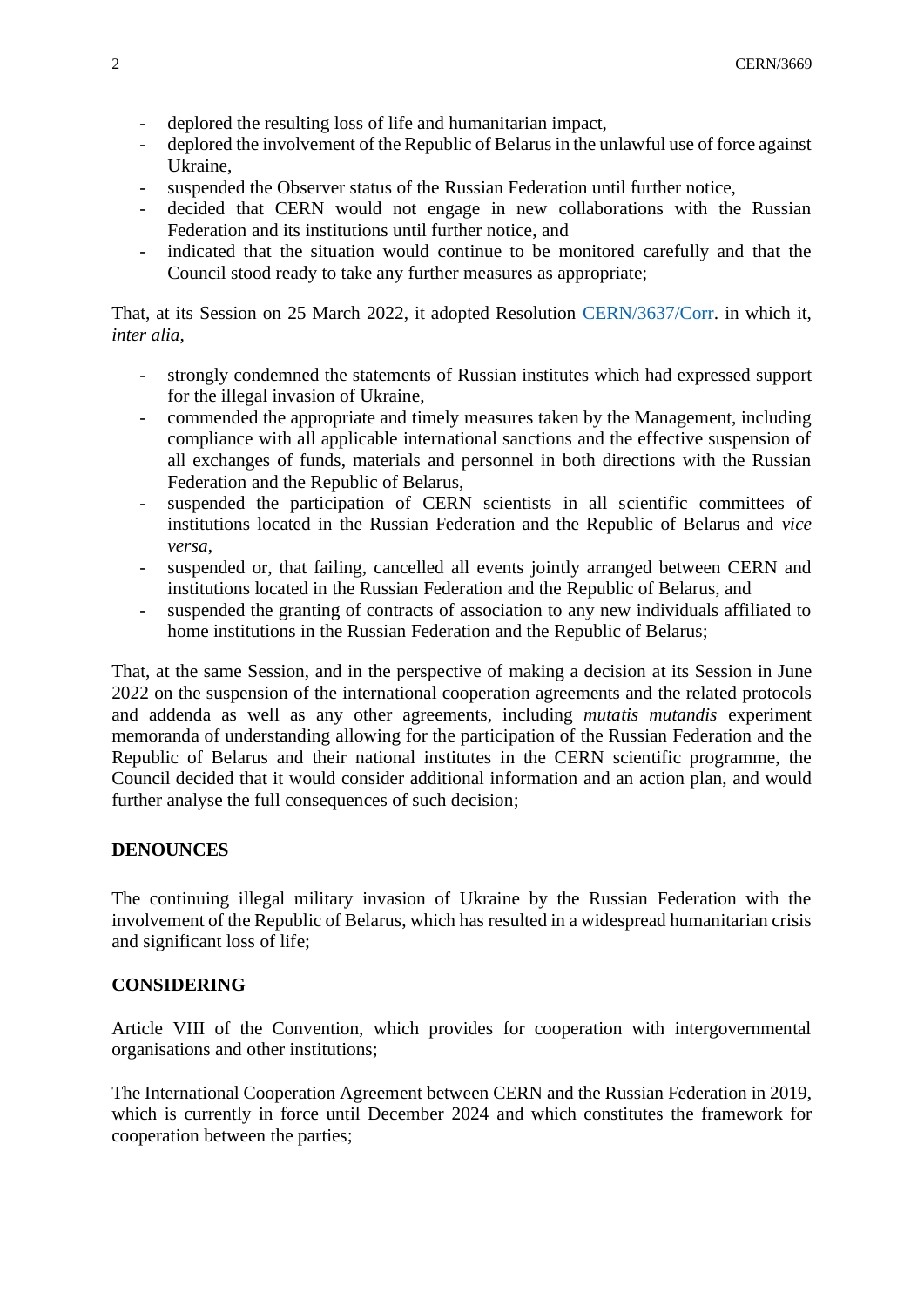- deplored the resulting loss of life and humanitarian impact,
- deplored the involvement of the Republic of Belarus in the unlawful use of force against Ukraine,
- suspended the Observer status of the Russian Federation until further notice,
- decided that CERN would not engage in new collaborations with the Russian Federation and its institutions until further notice, and
- indicated that the situation would continue to be monitored carefully and that the Council stood ready to take any further measures as appropriate;

That, at its Session on 25 March 2022, it adopted Resolution [CERN/3637/Corr.](https://cds.cern.ch/record/2809621/files/c-e-3637Corr_Council%20resolution_%20RU_BY.pdf) in which it, *inter alia*,

- strongly condemned the statements of Russian institutes which had expressed support for the illegal invasion of Ukraine,
- commended the appropriate and timely measures taken by the Management, including compliance with all applicable international sanctions and the effective suspension of all exchanges of funds, materials and personnel in both directions with the Russian Federation and the Republic of Belarus,
- suspended the participation of CERN scientists in all scientific committees of institutions located in the Russian Federation and the Republic of Belarus and *vice versa*,
- suspended or, that failing, cancelled all events jointly arranged between CERN and institutions located in the Russian Federation and the Republic of Belarus, and
- suspended the granting of contracts of association to any new individuals affiliated to home institutions in the Russian Federation and the Republic of Belarus;

That, at the same Session, and in the perspective of making a decision at its Session in June 2022 on the suspension of the international cooperation agreements and the related protocols and addenda as well as any other agreements, including *mutatis mutandis* experiment memoranda of understanding allowing for the participation of the Russian Federation and the Republic of Belarus and their national institutes in the CERN scientific programme, the Council decided that it would consider additional information and an action plan, and would further analyse the full consequences of such decision;

#### **DENOUNCES**

The continuing illegal military invasion of Ukraine by the Russian Federation with the involvement of the Republic of Belarus, which has resulted in a widespread humanitarian crisis and significant loss of life;

#### **CONSIDERING**

Article VIII of the Convention, which provides for cooperation with intergovernmental organisations and other institutions;

The International Cooperation Agreement between CERN and the Russian Federation in 2019, which is currently in force until December 2024 and which constitutes the framework for cooperation between the parties;